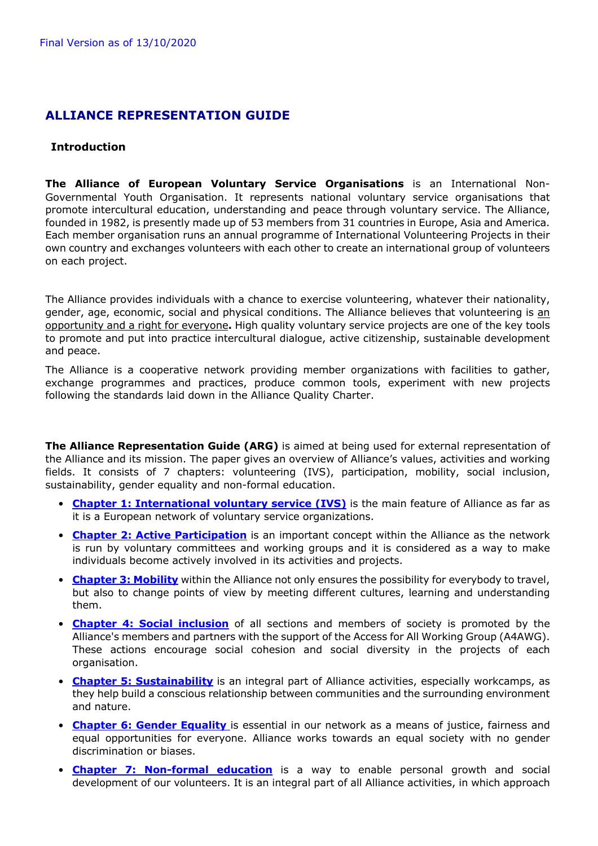# **ALLIANCE REPRESENTATION GUIDE**

### **Introduction**

**The Alliance of European Voluntary Service Organisations** is an International Non-Governmental Youth Organisation. It represents national voluntary service organisations that promote intercultural education, understanding and peace through voluntary service. The Alliance, founded in 1982, is presently made up of 53 members from 31 countries in Europe, Asia and America. Each member organisation runs an annual programme of International Volunteering Projects in their own country and exchanges volunteers with each other to create an international group of volunteers on each project.

The Alliance provides individuals with a chance to exercise volunteering, whatever their nationality, gender, age, economic, social and physical conditions. The Alliance believes that volunteering is an opportunity and a right for everyone**.** High quality voluntary service projects are one of the key tools to promote and put into practice intercultural dialogue, active citizenship, sustainable development and peace.

The Alliance is a cooperative network providing member organizations with facilities to gather, exchange programmes and practices, produce common tools, experiment with new projects following the standards laid down in the Alliance Quality Charter.

**The Alliance Representation Guide (ARG)** is aimed at being used for external representation of the Alliance and its mission. The paper gives an overview of Alliance's values, activities and working fields. It consists of 7 chapters: volunteering (IVS), participation, mobility, social inclusion, sustainability, gender equality and non-formal education.

- **Chapter 1: International voluntary service (IVS)** is the main feature of Alliance as far as it is a European network of voluntary service organizations.
- **Chapter 2: Active Participation** is an important concept within the Alliance as the network is run by voluntary committees and working groups and it is considered as a way to make individuals become actively involved in its activities and projects.
- **Chapter 3: Mobility** within the Alliance not only ensures the possibility for everybody to travel, but also to change points of view by meeting different cultures, learning and understanding them.
- **Chapter 4: Social inclusion** of all sections and members of society is promoted by the Alliance's members and partners with the support of the Access for All Working Group (A4AWG). These actions encourage social cohesion and social diversity in the projects of each organisation.
- **Chapter 5: Sustainability** is an integral part of Alliance activities, especially workcamps, as they help build a conscious relationship between communities and the surrounding environment and nature.
- **Chapter 6: Gender Equality** is essential in our network as a means of justice, fairness and equal opportunities for everyone. Alliance works towards an equal society with no gender discrimination or biases.
- **Chapter 7: Non-formal education** is a way to enable personal growth and social development of our volunteers. It is an integral part of all Alliance activities, in which approach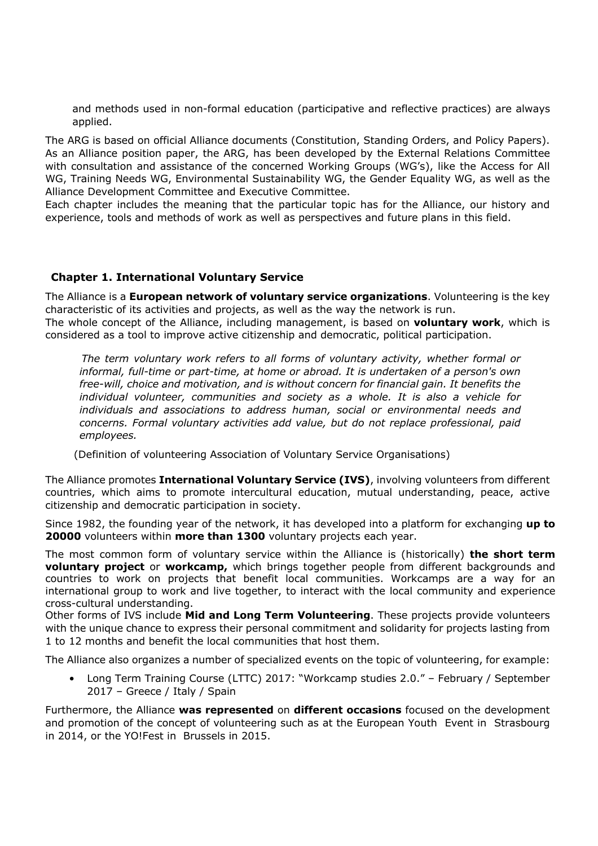and methods used in non-formal education (participative and reflective practices) are always applied.

The ARG is based on official Alliance documents (Constitution, Standing Orders, and Policy Papers). As an Alliance position paper, the ARG, has been developed by the External Relations Committee with consultation and assistance of the concerned Working Groups (WG's), like the Access for All WG, Training Needs WG, Environmental Sustainability WG, the Gender Equality WG, as well as the Alliance Development Committee and Executive Committee.

Each chapter includes the meaning that the particular topic has for the Alliance, our history and experience, tools and methods of work as well as perspectives and future plans in this field.

### **Chapter 1. International Voluntary Service**

The Alliance is a **European network of voluntary service organizations**. Volunteering is the key characteristic of its activities and projects, as well as the way the network is run.

The whole concept of the Alliance, including management, is based on **voluntary work**, which is considered as a tool to improve active citizenship and democratic, political participation.

*The term voluntary work refers to all forms of voluntary activity, whether formal or informal, full-time or part-time, at home or abroad. It is undertaken of a person's own free-will, choice and motivation, and is without concern for financial gain. It benefits the individual volunteer, communities and society as a whole. It is also a vehicle for individuals and associations to address human, social or environmental needs and concerns. Formal voluntary activities add value, but do not replace professional, paid employees.*

(Definition of volunteering Association of Voluntary Service Organisations)

The Alliance promotes **International Voluntary Service (IVS)**, involving volunteers from different countries, which aims to promote intercultural education, mutual understanding, peace, active citizenship and democratic participation in society.

Since 1982, the founding year of the network, it has developed into a platform for exchanging **up to 20000** volunteers within **more than 1300** voluntary projects each year.

The most common form of voluntary service within the Alliance is (historically) **the short term voluntary project** or **workcamp,** which brings together people from different backgrounds and countries to work on projects that benefit local communities. Workcamps are a way for an international group to work and live together, to interact with the local community and experience cross-cultural understanding.

Other forms of IVS include **Mid and Long Term Volunteering**. These projects provide volunteers with the unique chance to express their personal commitment and solidarity for projects lasting from 1 to 12 months and benefit the local communities that host them.

The Alliance also organizes a number of specialized events on the topic of volunteering, for example:

• Long Term Training Course (LTTC) 2017: "Workcamp studies 2.0." – February / September 2017 – Greece / Italy / Spain

Furthermore, the Alliance **was represented** on **different occasions** focused on the development and promotion of the concept of volunteering such as at the European Youth Event in Strasbourg in 2014, or the YO!Fest in Brussels in 2015.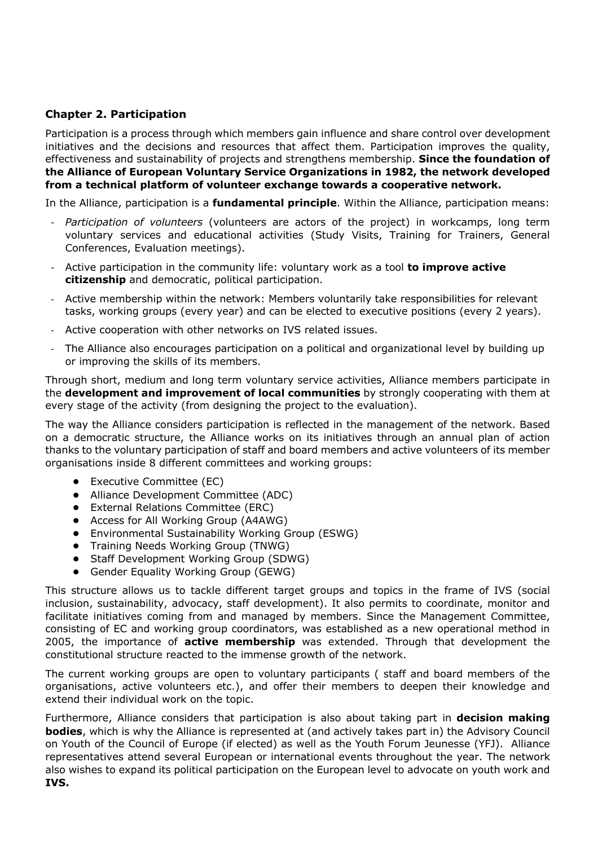## **Chapter 2. Participation**

Participation is a process through which members gain influence and share control over development initiatives and the decisions and resources that affect them. Participation improves the quality, effectiveness and sustainability of projects and strengthens membership. **Since the foundation of the Alliance of European Voluntary Service Organizations in 1982, the network developed from a technical platform of volunteer exchange towards a cooperative network.**

In the Alliance, participation is a **fundamental principle**. Within the Alliance, participation means:

- *Participation of volunteers* (volunteers are actors of the project) in workcamps, long term voluntary services and educational activities (Study Visits, Training for Trainers, General Conferences, Evaluation meetings).
- Active participation in the community life: voluntary work as a tool **to improve active citizenship** and democratic, political participation.
- Active membership within the network: Members voluntarily take responsibilities for relevant tasks, working groups (every year) and can be elected to executive positions (every 2 years).
- Active cooperation with other networks on IVS related issues.
- The Alliance also encourages participation on a political and organizational level by building up or improving the skills of its members.

Through short, medium and long term voluntary service activities, Alliance members participate in the **development and improvement of local communities** by strongly cooperating with them at every stage of the activity (from designing the project to the evaluation).

The way the Alliance considers participation is reflected in the management of the network. Based on a democratic structure, the Alliance works on its initiatives through an annual plan of action thanks to the voluntary participation of staff and board members and active volunteers of its member organisations inside 8 different committees and working groups:

- **•** Executive Committee (EC)
- **•** Alliance Development Committee (ADC)
- **•** External Relations Committee (ERC)
- **•** Access for All Working Group (A4AWG)
- **•** Environmental Sustainability Working Group (ESWG)
- **•** Training Needs Working Group (TNWG)
- **•** Staff Development Working Group (SDWG)
- **•** Gender Equality Working Group (GEWG)

This structure allows us to tackle different target groups and topics in the frame of IVS (social inclusion, sustainability, advocacy, staff development). It also permits to coordinate, monitor and facilitate initiatives coming from and managed by members. Since the Management Committee, consisting of EC and working group coordinators, was established as a new operational method in 2005, the importance of **active membership** was extended. Through that development the constitutional structure reacted to the immense growth of the network.

The current working groups are open to voluntary participants ( staff and board members of the organisations, active volunteers etc.), and offer their members to deepen their knowledge and extend their individual work on the topic.

Furthermore, Alliance considers that participation is also about taking part in **decision making bodies**, which is why the Alliance is represented at (and actively takes part in) the Advisory Council on Youth of the Council of Europe (if elected) as well as the Youth Forum Jeunesse (YFJ). Alliance representatives attend several European or international events throughout the year. The network also wishes to expand its political participation on the European level to advocate on youth work and **IVS.**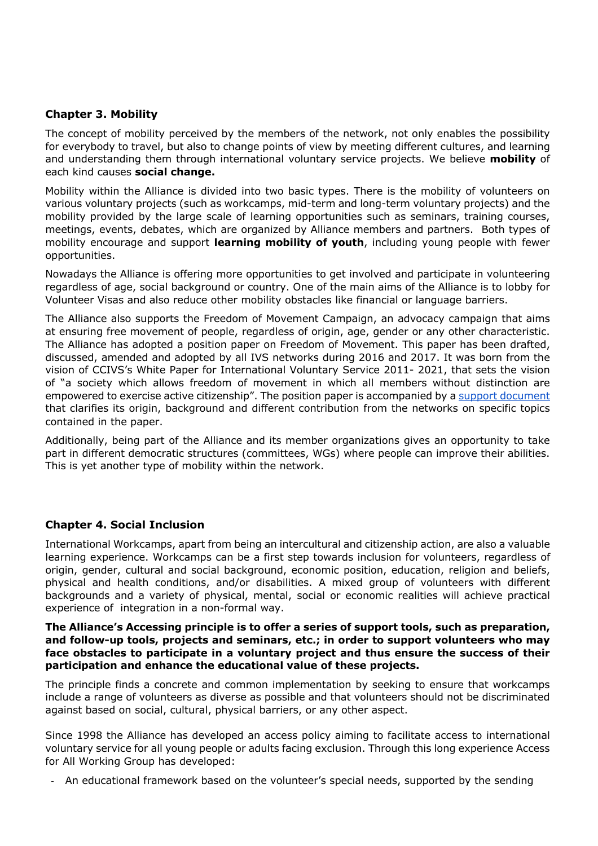### **Chapter 3. Mobility**

The concept of mobility perceived by the members of the network, not only enables the possibility for everybody to travel, but also to change points of view by meeting different cultures, and learning and understanding them through international voluntary service projects. We believe **mobility** of each kind causes **social change.**

Mobility within the Alliance is divided into two basic types. There is the mobility of volunteers on various voluntary projects (such as workcamps, mid-term and long-term voluntary projects) and the mobility provided by the large scale of learning opportunities such as seminars, training courses, meetings, events, debates, which are organized by Alliance members and partners. Both types of mobility encourage and support **learning mobility of youth**, including young people with fewer opportunities.

Nowadays the Alliance is offering more opportunities to get involved and participate in volunteering regardless of age, social background or country. One of the main aims of the Alliance is to lobby for Volunteer Visas and also reduce other mobility obstacles like financial or language barriers.

The Alliance also supports the Freedom of Movement Campaign, an advocacy campaign that aims at ensuring free movement of people, regardless of origin, age, gender or any other characteristic. The Alliance has adopted a position paper on Freedom of Movement. This paper has been drafted, discussed, amended and adopted by all IVS networks during 2016 and 2017. It was born from the vision of CCIVS's White Paper for International Voluntary Service 2011- 2021, that sets the vision of "a society which allows freedom of movement in which all members without distinction are empowered to exercise active citizenship". The position paper is accompanied by a support document that clarifies its origin, background and different contribution from the networks on specific topics contained in the paper.

Additionally, being part of the Alliance and its member organizations gives an opportunity to take part in different democratic structures (committees, WGs) where people can improve their abilities. This is yet another type of mobility within the network.

### **Chapter 4. Social Inclusion**

International Workcamps, apart from being an intercultural and citizenship action, are also a valuable learning experience. Workcamps can be a first step towards inclusion for volunteers, regardless of origin, gender, cultural and social background, economic position, education, religion and beliefs, physical and health conditions, and/or disabilities. A mixed group of volunteers with different backgrounds and a variety of physical, mental, social or economic realities will achieve practical experience of integration in a non-formal way.

#### **The Alliance's Accessing principle is to offer a series of support tools, such as preparation, and follow-up tools, projects and seminars, etc.; in order to support volunteers who may face obstacles to participate in a voluntary project and thus ensure the success of their participation and enhance the educational value of these projects.**

The principle finds a concrete and common implementation by seeking to ensure that workcamps include a range of volunteers as diverse as possible and that volunteers should not be discriminated against based on social, cultural, physical barriers, or any other aspect.

Since 1998 the Alliance has developed an access policy aiming to facilitate access to international voluntary service for all young people or adults facing exclusion. Through this long experience Access for All Working Group has developed:

- An educational framework based on the volunteer's special needs, supported by the sending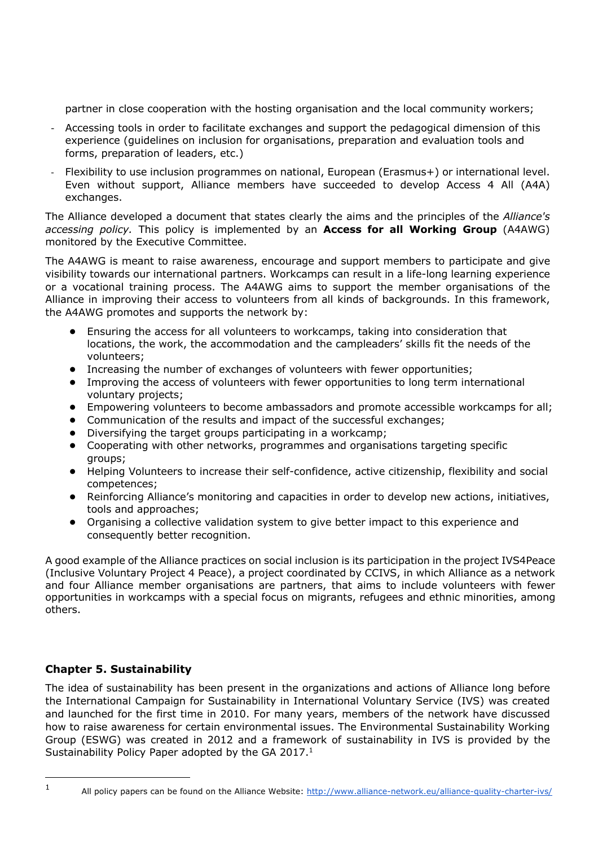partner in close cooperation with the hosting organisation and the local community workers;

- Accessing tools in order to facilitate exchanges and support the pedagogical dimension of this experience (guidelines on inclusion for organisations, preparation and evaluation tools and forms, preparation of leaders, etc.)
- Flexibility to use inclusion programmes on national, European (Erasmus+) or international level. Even without support, Alliance members have succeeded to develop Access 4 All (A4A) exchanges.

The Alliance developed a document that states clearly the aims and the principles of the *Alliance's accessing policy.* This policy is implemented by an **Access for all Working Group** (A4AWG) monitored by the Executive Committee.

The A4AWG is meant to raise awareness, encourage and support members to participate and give visibility towards our international partners. Workcamps can result in a life-long learning experience or a vocational training process. The A4AWG aims to support the member organisations of the Alliance in improving their access to volunteers from all kinds of backgrounds. In this framework, the A4AWG promotes and supports the network by:

- **•** Ensuring the access for all volunteers to workcamps, taking into consideration that locations, the work, the accommodation and the campleaders' skills fit the needs of the volunteers;
- **•** Increasing the number of exchanges of volunteers with fewer opportunities;
- **•** Improving the access of volunteers with fewer opportunities to long term international voluntary projects;
- **•** Empowering volunteers to become ambassadors and promote accessible workcamps for all;
- **•** Communication of the results and impact of the successful exchanges;
- **•** Diversifying the target groups participating in a workcamp;
- **•** Cooperating with other networks, programmes and organisations targeting specific groups;
- **•** Helping Volunteers to increase their self-confidence, active citizenship, flexibility and social competences;
- **•** Reinforcing Alliance's monitoring and capacities in order to develop new actions, initiatives, tools and approaches;
- **•** Organising a collective validation system to give better impact to this experience and consequently better recognition.

A good example of the Alliance practices on social inclusion is its participation in the project IVS4Peace (Inclusive Voluntary Project 4 Peace), a project coordinated by CCIVS, in which Alliance as a network and four Alliance member organisations are partners, that aims to include volunteers with fewer opportunities in workcamps with a special focus on migrants, refugees and ethnic minorities, among others.

# **Chapter 5. Sustainability**

The idea of sustainability has been present in the organizations and actions of Alliance long before the International Campaign for Sustainability in International Voluntary Service (IVS) was created and launched for the first time in 2010. For many years, members of the network have discussed how to raise awareness for certain environmental issues. The Environmental Sustainability Working Group (ESWG) was created in 2012 and a framework of sustainability in IVS is provided by the Sustainability Policy Paper adopted by the GA 2017.<sup>1</sup>

<sup>1</sup> All policy papers can be found on the Alliance Website: http://www.alliance-network.eu/alliance-quality-charter-ivs/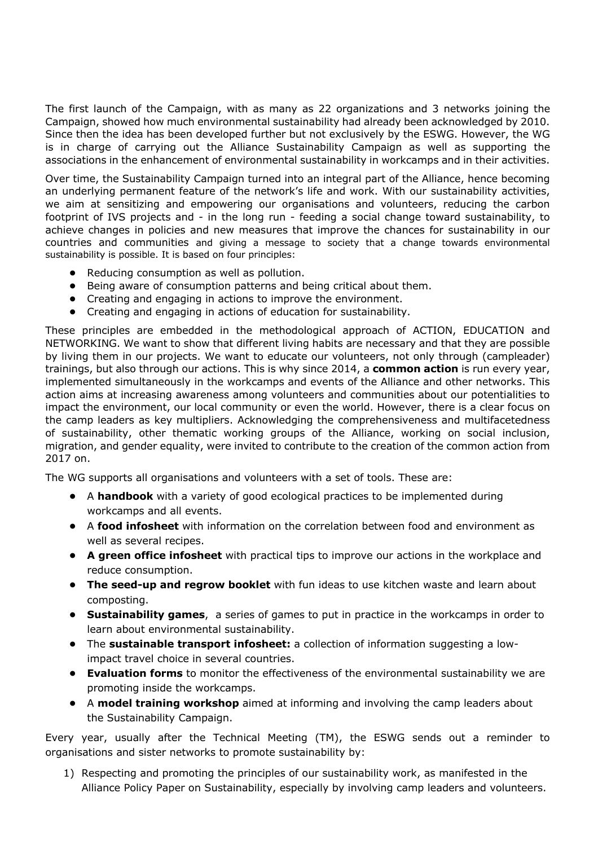The first launch of the Campaign, with as many as 22 organizations and 3 networks joining the Campaign, showed how much environmental sustainability had already been acknowledged by 2010. Since then the idea has been developed further but not exclusively by the ESWG. However, the WG is in charge of carrying out the Alliance Sustainability Campaign as well as supporting the associations in the enhancement of environmental sustainability in workcamps and in their activities.

Over time, the Sustainability Campaign turned into an integral part of the Alliance, hence becoming an underlying permanent feature of the network's life and work. With our sustainability activities, we aim at sensitizing and empowering our organisations and volunteers, reducing the carbon footprint of IVS projects and - in the long run - feeding a social change toward sustainability, to achieve changes in policies and new measures that improve the chances for sustainability in our countries and communities and giving a message to society that a change towards environmental sustainability is possible. It is based on four principles:

- **•** Reducing consumption as well as pollution.
- **•** Being aware of consumption patterns and being critical about them.
- **•** Creating and engaging in actions to improve the environment.
- **•** Creating and engaging in actions of education for sustainability.

These principles are embedded in the methodological approach of ACTION, EDUCATION and NETWORKING. We want to show that different living habits are necessary and that they are possible by living them in our projects. We want to educate our volunteers, not only through (campleader) trainings, but also through our actions. This is why since 2014, a **common action** is run every year, implemented simultaneously in the workcamps and events of the Alliance and other networks. This action aims at increasing awareness among volunteers and communities about our potentialities to impact the environment, our local community or even the world. However, there is a clear focus on the camp leaders as key multipliers. Acknowledging the comprehensiveness and multifacetedness of sustainability, other thematic working groups of the Alliance, working on social inclusion, migration, and gender equality, were invited to contribute to the creation of the common action from 2017 on.

The WG supports all organisations and volunteers with a set of tools. These are:

- **•** A **handbook** with a variety of good ecological practices to be implemented during workcamps and all events.
- **•** A **food infosheet** with information on the correlation between food and environment as well as several recipes.
- **• A green office infosheet** with practical tips to improve our actions in the workplace and reduce consumption.
- **• The seed-up and regrow booklet** with fun ideas to use kitchen waste and learn about composting.
- **• Sustainability games**, a series of games to put in practice in the workcamps in order to learn about environmental sustainability.
- **•** The **sustainable transport infosheet:** a collection of information suggesting a lowimpact travel choice in several countries.
- **• Evaluation forms** to monitor the effectiveness of the environmental sustainability we are promoting inside the workcamps.
- **•** A **model training workshop** aimed at informing and involving the camp leaders about the Sustainability Campaign.

Every year, usually after the Technical Meeting (TM), the ESWG sends out a reminder to organisations and sister networks to promote sustainability by:

1) Respecting and promoting the principles of our sustainability work, as manifested in the Alliance Policy Paper on Sustainability, especially by involving camp leaders and volunteers.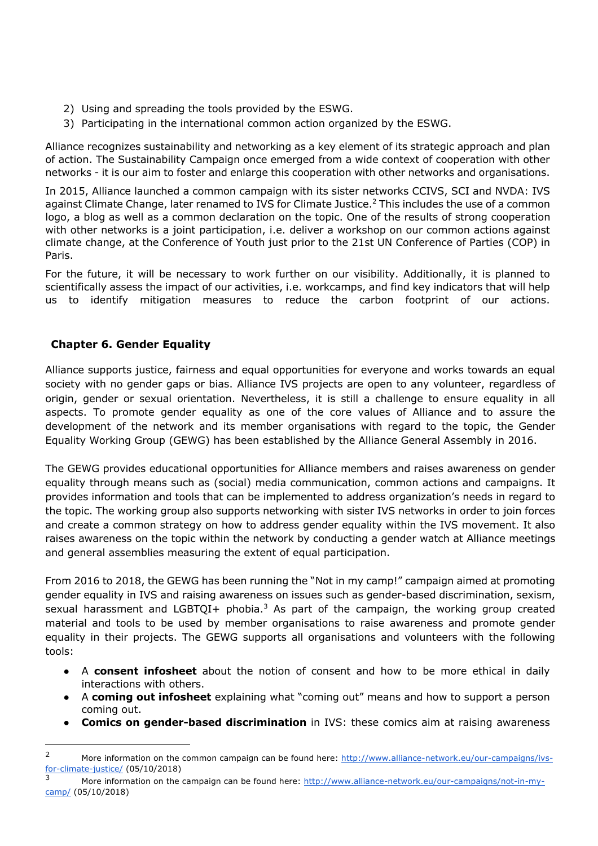- 2) Using and spreading the tools provided by the ESWG.
- 3) Participating in the international common action organized by the ESWG.

Alliance recognizes sustainability and networking as a key element of its strategic approach and plan of action. The Sustainability Campaign once emerged from a wide context of cooperation with other networks - it is our aim to foster and enlarge this cooperation with other networks and organisations.

In 2015, Alliance launched a common campaign with its sister networks CCIVS, SCI and NVDA: IVS against Climate Change, later renamed to IVS for Climate Justice.<sup>2</sup> This includes the use of a common logo, a blog as well as a common declaration on the topic. One of the results of strong cooperation with other networks is a joint participation, i.e. deliver a workshop on our common actions against climate change, at the Conference of Youth just prior to the 21st UN Conference of Parties (COP) in Paris.

For the future, it will be necessary to work further on our visibility. Additionally, it is planned to scientifically assess the impact of our activities, i.e. workcamps, and find key indicators that will help us to identify mitigation measures to reduce the carbon footprint of our actions.

# **Chapter 6. Gender Equality**

Alliance supports justice, fairness and equal opportunities for everyone and works towards an equal society with no gender gaps or bias. Alliance IVS projects are open to any volunteer, regardless of origin, gender or sexual orientation. Nevertheless, it is still a challenge to ensure equality in all aspects. To promote gender equality as one of the core values of Alliance and to assure the development of the network and its member organisations with regard to the topic, the Gender Equality Working Group (GEWG) has been established by the Alliance General Assembly in 2016.

The GEWG provides educational opportunities for Alliance members and raises awareness on gender equality through means such as (social) media communication, common actions and campaigns. It provides information and tools that can be implemented to address organization's needs in regard to the topic. The working group also supports networking with sister IVS networks in order to join forces and create a common strategy on how to address gender equality within the IVS movement. It also raises awareness on the topic within the network by conducting a gender watch at Alliance meetings and general assemblies measuring the extent of equal participation.

From 2016 to 2018, the GEWG has been running the "Not in my camp!" campaign aimed at promoting gender equality in IVS and raising awareness on issues such as gender-based discrimination, sexism, sexual harassment and LGBTQI+ phobia.<sup>3</sup> As part of the campaign, the working group created material and tools to be used by member organisations to raise awareness and promote gender equality in their projects. The GEWG supports all organisations and volunteers with the following tools:

- A **consent infosheet** about the notion of consent and how to be more ethical in daily interactions with others.
- A **coming out infosheet** explaining what "coming out" means and how to support a person coming out.
- **Comics on gender-based discrimination** in IVS: these comics aim at raising awareness

<sup>&</sup>lt;sup>2</sup> More information on the common campaign can be found here: http://www.alliance-network.eu/our-campaigns/ivsfor-climate-justice/ (05/10/2018)

More information on the campaign can be found here: http://www.alliance-network.eu/our-campaigns/not-in-mycamp/ (05/10/2018)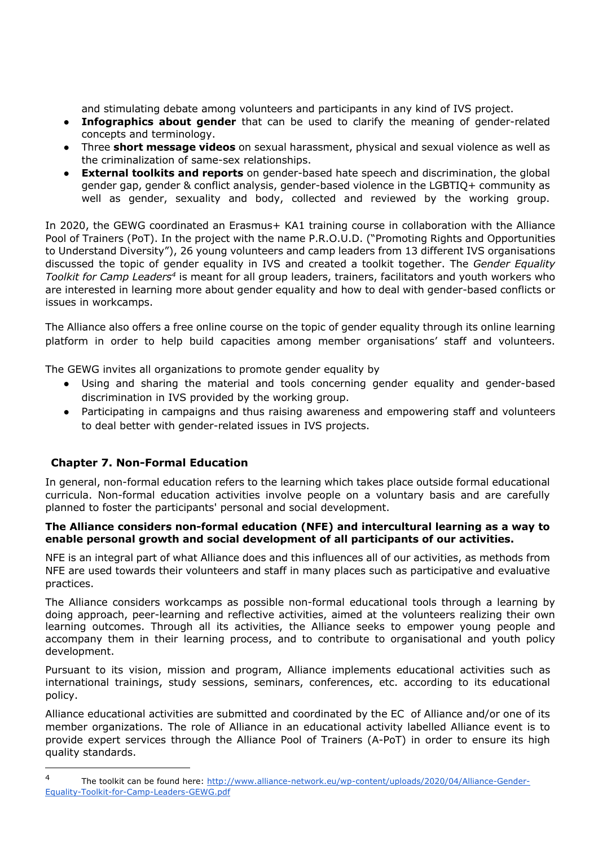and stimulating debate among volunteers and participants in any kind of IVS project.

- **Infographics about gender** that can be used to clarify the meaning of gender-related concepts and terminology.
- Three **short message videos** on sexual harassment, physical and sexual violence as well as the criminalization of same-sex relationships.
- **External toolkits and reports** on gender-based hate speech and discrimination, the global gender gap, gender & conflict analysis, gender-based violence in the LGBTIQ+ community as well as gender, sexuality and body, collected and reviewed by the working group.

In 2020, the GEWG coordinated an Erasmus+ KA1 training course in collaboration with the Alliance Pool of Trainers (PoT). In the project with the name P.R.O.U.D. ("Promoting Rights and Opportunities to Understand Diversity"), 26 young volunteers and camp leaders from 13 different IVS organisations discussed the topic of gender equality in IVS and created a toolkit together. The *Gender Equality Toolkit for Camp Leaders4* is meant for all group leaders, trainers, facilitators and youth workers who are interested in learning more about gender equality and how to deal with gender-based conflicts or issues in workcamps.

The Alliance also offers a free online course on the topic of gender equality through its online learning platform in order to help build capacities among member organisations' staff and volunteers.

The GEWG invites all organizations to promote gender equality by

- Using and sharing the material and tools concerning gender equality and gender-based discrimination in IVS provided by the working group.
- Participating in campaigns and thus raising awareness and empowering staff and volunteers to deal better with gender-related issues in IVS projects.

# **Chapter 7. Non-Formal Education**

In general, non-formal education refers to the learning which takes place outside formal educational curricula. Non-formal education activities involve people on a voluntary basis and are carefully planned to foster the participants' personal and social development.

#### **The Alliance considers non-formal education (NFE) and intercultural learning as a way to enable personal growth and social development of all participants of our activities.**

NFE is an integral part of what Alliance does and this influences all of our activities, as methods from NFE are used towards their volunteers and staff in many places such as participative and evaluative practices.

The Alliance considers workcamps as possible non-formal educational tools through a learning by doing approach, peer-learning and reflective activities, aimed at the volunteers realizing their own learning outcomes. Through all its activities, the Alliance seeks to empower young people and accompany them in their learning process, and to contribute to organisational and youth policy development.

Pursuant to its vision, mission and program, Alliance implements educational activities such as international trainings, study sessions, seminars, conferences, etc. according to its educational policy.

Alliance educational activities are submitted and coordinated by the EC of Alliance and/or one of its member organizations. The role of Alliance in an educational activity labelled Alliance event is to provide expert services through the Alliance Pool of Trainers (A-PoT) in order to ensure its high quality standards.

<sup>4</sup> The toolkit can be found here: http://www.alliance-network.eu/wp-content/uploads/2020/04/Alliance-Gender-Equality-Toolkit-for-Camp-Leaders-GEWG.pdf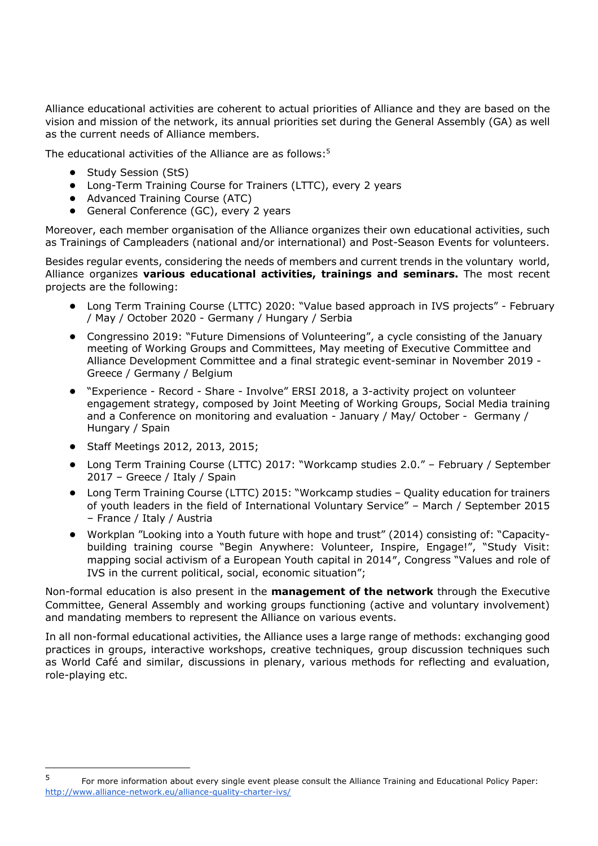Alliance educational activities are coherent to actual priorities of Alliance and they are based on the vision and mission of the network, its annual priorities set during the General Assembly (GA) as well as the current needs of Alliance members.

The educational activities of the Alliance are as follows:<sup>5</sup>

- **•** Study Session (StS)
- **•** Long-Term Training Course for Trainers (LTTC), every 2 years
- **•** Advanced Training Course (ATC)
- **•** General Conference (GC), every 2 years

Moreover, each member organisation of the Alliance organizes their own educational activities, such as Trainings of Campleaders (national and/or international) and Post-Season Events for volunteers.

Besides regular events, considering the needs of members and current trends in the voluntary world, Alliance organizes **various educational activities, trainings and seminars.** The most recent projects are the following:

- **•** Long Term Training Course (LTTC) 2020: "Value based approach in IVS projects" February / May / October 2020 - Germany / Hungary / Serbia
- **•** Congressino 2019: "Future Dimensions of Volunteering", a cycle consisting of the January meeting of Working Groups and Committees, May meeting of Executive Committee and Alliance Development Committee and a final strategic event-seminar in November 2019 - Greece / Germany / Belgium
- **•** "Experience Record Share Involve" ERSI 2018, a 3-activity project on volunteer engagement strategy, composed by Joint Meeting of Working Groups, Social Media training and a Conference on monitoring and evaluation - January / May/ October - Germany / Hungary / Spain
- **•** Staff Meetings 2012, 2013, 2015;
- **•** Long Term Training Course (LTTC) 2017: "Workcamp studies 2.0." February / September 2017 – Greece / Italy / Spain
- **•** Long Term Training Course (LTTC) 2015: "Workcamp studies Quality education for trainers of youth leaders in the field of International Voluntary Service" – March / September 2015 – France / Italy / Austria
- **•** Workplan "Looking into a Youth future with hope and trust" (2014) consisting of: "Capacitybuilding training course "Begin Anywhere: Volunteer, Inspire, Engage!", "Study Visit: mapping social activism of a European Youth capital in 2014″, Congress "Values and role of IVS in the current political, social, economic situation";

Non-formal education is also present in the **management of the network** through the Executive Committee, General Assembly and working groups functioning (active and voluntary involvement) and mandating members to represent the Alliance on various events.

In all non-formal educational activities, the Alliance uses a large range of methods: exchanging good practices in groups, interactive workshops, creative techniques, group discussion techniques such as World Café and similar, discussions in plenary, various methods for reflecting and evaluation, role-playing etc.

<sup>5</sup> For more information about every single event please consult the Alliance Training and Educational Policy Paper: http://www.alliance-network.eu/alliance-quality-charter-ivs/